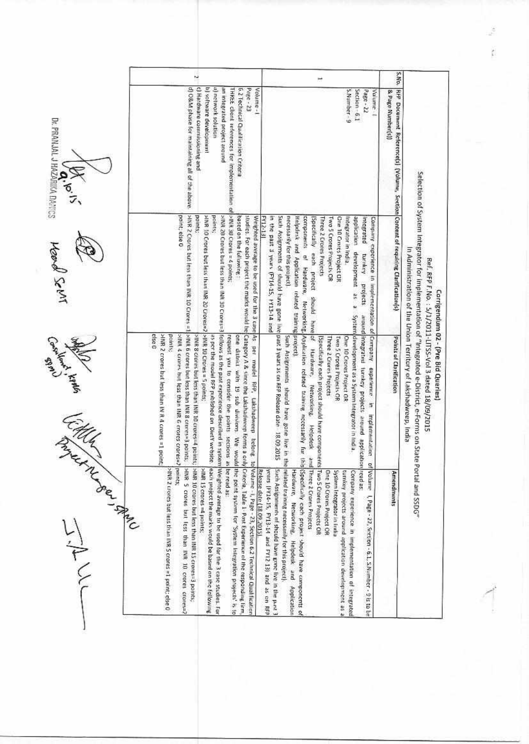|                                | N                                                                                                                                                                                                                                                                                                                                                                                                                                                                                                                                                                                                                                                                                        | Ħ                                                                                                                                                                                                                                                                                                                                                                                                                                                                                                                                                                                                          | S.No.                                                                                                                                                                                                                                                                                     |
|--------------------------------|------------------------------------------------------------------------------------------------------------------------------------------------------------------------------------------------------------------------------------------------------------------------------------------------------------------------------------------------------------------------------------------------------------------------------------------------------------------------------------------------------------------------------------------------------------------------------------------------------------------------------------------------------------------------------------------|------------------------------------------------------------------------------------------------------------------------------------------------------------------------------------------------------------------------------------------------------------------------------------------------------------------------------------------------------------------------------------------------------------------------------------------------------------------------------------------------------------------------------------------------------------------------------------------------------------|-------------------------------------------------------------------------------------------------------------------------------------------------------------------------------------------------------------------------------------------------------------------------------------------|
| Dr. PRANJAL J HAZARIKA DANICS  | d) O&M phase for maintaining all of the above<br>c) Hardware commissioning and<br>b) software development<br>a) network solution<br>an integrated project around<br>6.2 Technical Qualitication Criteria<br>Page - 23<br>Volume-1<br>THREE client references for implementation of                                                                                                                                                                                                                                                                                                                                                                                                       | S.Number - 9<br>Page - 22<br>Section-6.1<br>Volume.                                                                                                                                                                                                                                                                                                                                                                                                                                                                                                                                                        | RFP Document Reference(s) (Volume, Section Content of requiring Clarification(s)<br>& Page Number(s))                                                                                                                                                                                     |
| HOON SeMI                      | >INR 30 Crores = 4 points;<br>>INR 2 Crores but less than INR 10 Crores =1<br>point; else 0<br>>INR 10 Crores but less than INR 20 Crores=2 >INR 10 Crores = 5 points;<br>points;<br>points;<br>based on the following:                                                                                                                                                                                                                                                                                                                                                                                                                                                                  | <b>FY12-13</b><br>in the past 3 years (FY14-15, FY13-14 and<br>necessarily for this project).<br>Helpdesk and Application related training project)<br>components<br>Two 5 Crores Projects OR<br>One 10 Crores Project OR<br>[Specifically each project<br>Three 2 Crores Projects<br>integrated<br>Company experience in implementation of Company<br>ntegrator in India.<br>of Hardware,<br>turnkey<br>projects<br>should have of                                                                                                                                                                        |                                                                                                                                                                                                                                                                                           |
| <b>Section Reptor</b><br>C.Hur | >INR 20 Crores but less than INR 30 Crores=3 follows as the past experience described in system<br>studies. For each project the marks would be Category A.& since the Lakshadwoop forms a only<br>Weighted average to be used for the 3 case As per model. RFP, Lakshadweep belong to<br>MR 6 crores but less than INR 8 crores=3 points;<br>else 0<br>>INR 2 croces but less than IN R 4 croces = 1 point<br>points;<br>>INIL 4 crares but less than INR 6 crores crores=<br>>INR 8 crores but less than INR 10 crores=4 points;<br>45 per the model RFP published on DietY website.<br>one district with 19 sub divisions. We would<br>request you to consider the points sections as | Such Assignments of should have gone live past 3 years as on RFR Release date 18.09.2015<br>application development as a System development as a System Integrator in India.<br>Networking Application related training necessarily fur this<br>around integrated turning projects around application read as:<br>Such Assignments should have gone live in th<br>One 10 Crores Project OR<br>Specifically each project should have components] Two S Crores Projects OR<br>Three 2 Crores Projects<br>Two 5 Crores Projects OR<br>Hardware,<br>experience in<br>Networking,<br>Implementation<br>Helpdesk | Selection of System Integrator for Implementation of "Integrated e-District, e-Forms on State<br>In Administration of the Union Territory of Lakshadweep, India<br>Ref. RFP F.No.: 5/1/2011-LITSS-Vol 3 dated 18/09/2015<br>Carrigendum 02 - (Pre Bid Queries)<br>Points of Clarification |
| INTEL DR. LAND<br>Jill         | >MR 2 crores but less thinn INR 5 crores =1 point; clse 0<br>SINR 5 crores but less than INR 10 crores crores=2<br>Weighted average to be used for the 3 case studies. For<br>the point system for 'System Integration projects' is to<br>points;<br>>MR 10 crores but less than INR 15 crores=3 points,<br>>IMR 15 crores =4 points;<br>be read as:<br>Volume - I, Page - 23, Section 6.2 Technical Qualification<br>each project the marks would be based on the following<br>Criteria, Table 1- Past Experience of the responding firm,<br>Release date (18.09.2015).                                                                                                                 | and Three 2 Crores Projects<br>of Volume 1, Page - 22, Section - 6.1, S.Number - 9 is to be<br>üï<br>Specifically cach project should have components of<br>related training necessarily for this project).<br>years [FY14-15, FY13-14 and FY12 13] and as on RFP<br>Such Assignments of should have gone live in the purt 3<br>Hardware, Networking, Helpdesk and Application<br><b>Dne 10 Crons Project OR</b><br>turnkey projects around application development as a<br>System Integrator in India<br>Company experience in implementation of integrated                                               | Portal and SSDG"<br>Amendments                                                                                                                                                                                                                                                            |

ž ý.

1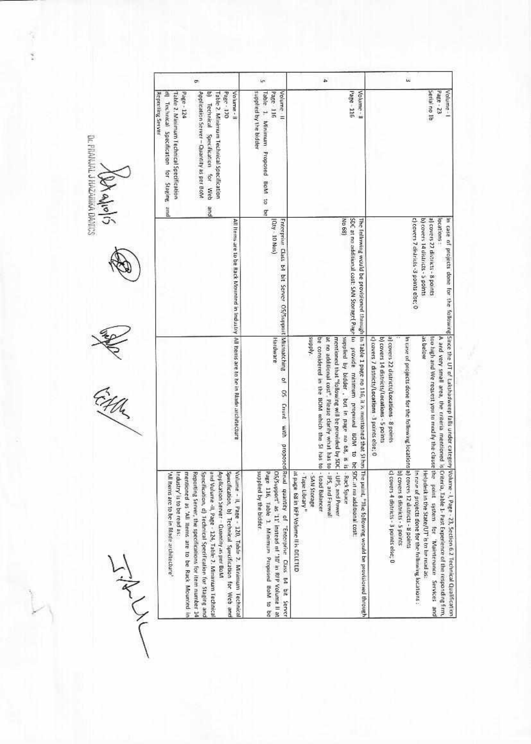| g.<br>g                                                                                                                                                                                                                                                                                                                                                                                                                                                                      | Ln                                                                                                                                                                                       | á.                                                                                                                                                                                                                                                                                                                                                                                                          | i.                                                                                                                                                                                                                                                                                                                                                                                                                         |
|------------------------------------------------------------------------------------------------------------------------------------------------------------------------------------------------------------------------------------------------------------------------------------------------------------------------------------------------------------------------------------------------------------------------------------------------------------------------------|------------------------------------------------------------------------------------------------------------------------------------------------------------------------------------------|-------------------------------------------------------------------------------------------------------------------------------------------------------------------------------------------------------------------------------------------------------------------------------------------------------------------------------------------------------------------------------------------------------------|----------------------------------------------------------------------------------------------------------------------------------------------------------------------------------------------------------------------------------------------------------------------------------------------------------------------------------------------------------------------------------------------------------------------------|
| Page - 124<br>Application Server - Quantity as per Bowl<br>Volume - II<br>Table 2. Minimum Technical Spacification<br>Page - 120<br><b>Reporting Server</b><br>Table 2. Minimum Technical Specification<br>Technical Specification<br>Technical Specification for Web<br>for Steging and<br>pue                                                                                                                                                                              | supplied by the bidder<br>Volume II<br>Table 1. Minimum Proposed BoM to be<br>Page 116                                                                                                   | Page - 116<br>Volume-11                                                                                                                                                                                                                                                                                                                                                                                     | Senal no 1b<br>Page - 23<br>Volume -                                                                                                                                                                                                                                                                                                                                                                                       |
| All frems are to be Rack Mountnd in Industry  All teens are to be in Riade architecture                                                                                                                                                                                                                                                                                                                                                                                      | [Gty - 10 Nos)<br>Enterprise Class 64 bit Server OS/Support Mismatching                                                                                                                  | No 68)                                                                                                                                                                                                                                                                                                                                                                                                      | al covers 27 districts - 8 points<br>c) covers 7 districts -3 points else; 0<br>b) covers 14 districts - 5 points<br>locations:                                                                                                                                                                                                                                                                                            |
|                                                                                                                                                                                                                                                                                                                                                                                                                                                                              | Hardware<br>a<br>$\boldsymbol{S}$<br>Criunt with<br>proposed                                                                                                                             | SDC at no additional cost: SAN Storage( Page Io provide minimum proprised BDM to be<br>The frillmwing would be provisioned through in Table 1 page no 116, it is mentioned that St has<br>Middns<br>at no additional cost". Please clarify what has to<br>mentioned that "following will be provided by SDC<br>supplied by bidder, but in page no 68, is is<br>be considered in the BOM which the SI has to | in case of projects done for the following Since the UT of Lakshadweep falls under category<br>c) covers 7 districts/Locations -3 points else; 0<br>a) covers 22 districts/Locations - 8 points<br>as below<br>too high and We request you to modify the clause<br>A and very small area, the criteria mentioned is<br>b) covers 14 districts/Locations - 5 points<br>In case of projects done for the following locations |
| Application Server - Quantity as per BoM<br>Volume - II, Page - 120, Table 2. Minimum Technical<br>and Volume -II, Page - 124, Table 2. Minumum Technical<br>Specification, b) Technical Specification for Web and<br>mentioned as 'All ttems are to be Rack Mounted in<br>Reporting Server, the specifications for item number 14<br>Specification, d) Technical Specification for Staging and<br>Industry' is to be read as:<br>'All hems are to be in Blade architecture' | supplied by the bidder.<br>Page 116, Table 1. Minimum Proposed BoM to be<br>pSS/support" as '11' instead of '10' in RFP Volume II at<br>Read quantity of "Enterprise Class be bet Server | at page 68 in RFP Volume II is DELETED<br>SDC at no additional cost:<br>The puint, "The following would be pravisioned through<br>-IPS, and Firewall<br>-UPS, and Power<br>- Load Balancer<br>-Rack Space<br>- Tape Library"<br>- SAN Storage                                                                                                                                                               | c) covers 4 districts - 3 points else; 0<br>b) covers 8 districts - 5 points<br>a) covers 12 districts - 8 points<br>In case of projects done for the following locations :<br>Helpdesk in the State/UT' is to be read as<br>the point system for 'Maintrnance Services and<br>Criteria, Table 1- Past Experience of the responding firm,<br>Volume - I, Page - 23, Section 6.2 Technical Qualification                    |

**New Alphalph Comparing Comparing to the Community of Community** 

FORTHLE COMPANY